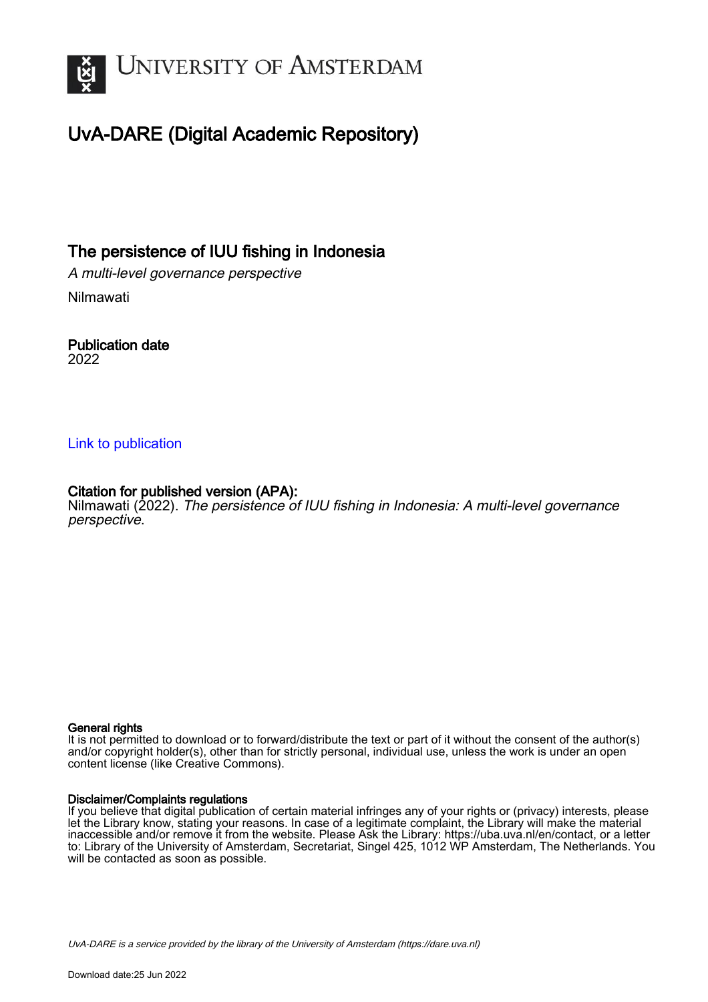

## UvA-DARE (Digital Academic Repository)

The persistence of IUU fishing in Indonesia

A multi-level governance perspective

Nilmawati

Publication date 2022

#### [Link to publication](https://dare.uva.nl/personal/pure/en/publications/the-persistence-of-iuu-fishing-in-indonesia(31a0ff4c-5548-40e9-ba7a-f63956c555fc).html)

#### Citation for published version (APA):

Nilmawati (2022). The persistence of IUU fishing in Indonesia: A multi-level governance perspective.

#### General rights

It is not permitted to download or to forward/distribute the text or part of it without the consent of the author(s) and/or copyright holder(s), other than for strictly personal, individual use, unless the work is under an open content license (like Creative Commons).

#### Disclaimer/Complaints regulations

If you believe that digital publication of certain material infringes any of your rights or (privacy) interests, please let the Library know, stating your reasons. In case of a legitimate complaint, the Library will make the material inaccessible and/or remove it from the website. Please Ask the Library: https://uba.uva.nl/en/contact, or a letter to: Library of the University of Amsterdam, Secretariat, Singel 425, 1012 WP Amsterdam, The Netherlands. You will be contacted as soon as possible.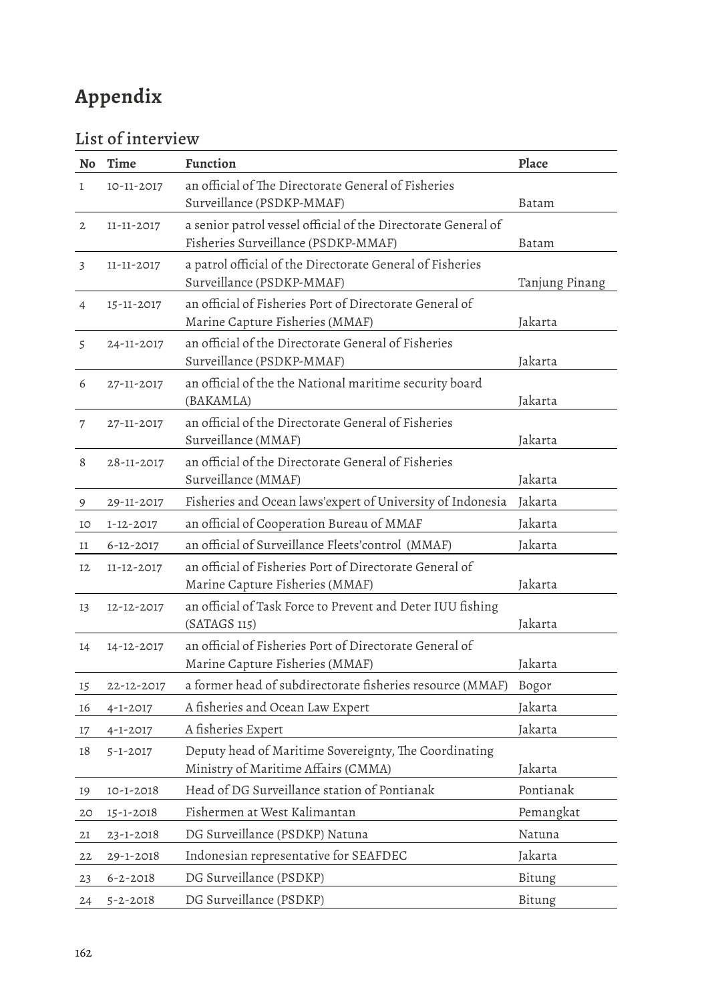## **Appendix**

### List of interview

| No           | Time            | Function                                                                                             | Place          |  |  |
|--------------|-----------------|------------------------------------------------------------------------------------------------------|----------------|--|--|
| $\mathbf{I}$ | 10-11-2017      | an official of The Directorate General of Fisheries<br>Surveillance (PSDKP-MMAF)                     | Batam          |  |  |
| $\mathbf{2}$ | 11-11-2017      | a senior patrol vessel official of the Directorate General of<br>Fisheries Surveillance (PSDKP-MMAF) | Batam          |  |  |
| 3            | 11-11-2017      | a patrol official of the Directorate General of Fisheries<br>Surveillance (PSDKP-MMAF)               | Tanjung Pinang |  |  |
| 4            | 15-11-2017      | an official of Fisheries Port of Directorate General of<br>Marine Capture Fisheries (MMAF)           | Jakarta        |  |  |
| 5            | 24-11-2017      | an official of the Directorate General of Fisheries<br>Surveillance (PSDKP-MMAF)                     | Jakarta        |  |  |
| 6            | 27-11-2017      | an official of the the National maritime security board<br>(BAKAMLA)                                 | Jakarta        |  |  |
| 7            | 27-11-2017      | an official of the Directorate General of Fisheries<br>Surveillance (MMAF)                           | Jakarta        |  |  |
| 8            | 28-11-2017      | an official of the Directorate General of Fisheries<br>Surveillance (MMAF)                           | Jakarta        |  |  |
| 9            | 29-11-2017      | Fisheries and Ocean laws'expert of University of Indonesia                                           | Jakarta        |  |  |
| 10           | 1-12-2017       | an official of Cooperation Bureau of MMAF                                                            | Jakarta        |  |  |
| 11           | $6 - 12 - 2017$ | an official of Surveillance Fleets'control (MMAF)                                                    | Jakarta        |  |  |
| 12           | 11-12-2017      | an official of Fisheries Port of Directorate General of<br>Marine Capture Fisheries (MMAF)           | Jakarta        |  |  |
| 13           | 12-12-2017      | an official of Task Force to Prevent and Deter IUU fishing<br>(SATAGS 115)                           | Jakarta        |  |  |
| 14           | 14-12-2017      | an official of Fisheries Port of Directorate General of<br>Marine Capture Fisheries (MMAF)           | Jakarta        |  |  |
| 15           | 22-12-2017      | a former head of subdirectorate fisheries resource (MMAF)                                            | Bogor          |  |  |
| 16           | $4 - 1 - 2017$  | A fisheries and Ocean Law Expert                                                                     | Jakarta        |  |  |
| 17           | 4-1-2017        | A fisheries Expert                                                                                   | Jakarta        |  |  |
| 18           | $5 - 1 - 2017$  | Deputy head of Maritime Sovereignty, The Coordinating<br>Ministry of Maritime Affairs (CMMA)         | Jakarta        |  |  |
| 19           | 10-1-2018       | Head of DG Surveillance station of Pontianak                                                         | Pontianak      |  |  |
| 20           | 15-1-2018       | Fishermen at West Kalimantan                                                                         | Pemangkat      |  |  |
| 21           | 23-1-2018       | DG Surveillance (PSDKP) Natuna                                                                       | Natuna         |  |  |
| 22           | 29-1-2018       | Indonesian representative for SEAFDEC                                                                | Jakarta        |  |  |
| 23           | $6 - 2 - 2018$  | DG Surveillance (PSDKP)                                                                              | Bitung         |  |  |
| 24           | $5 - 2 - 2018$  | DG Surveillance (PSDKP)                                                                              | Bitung         |  |  |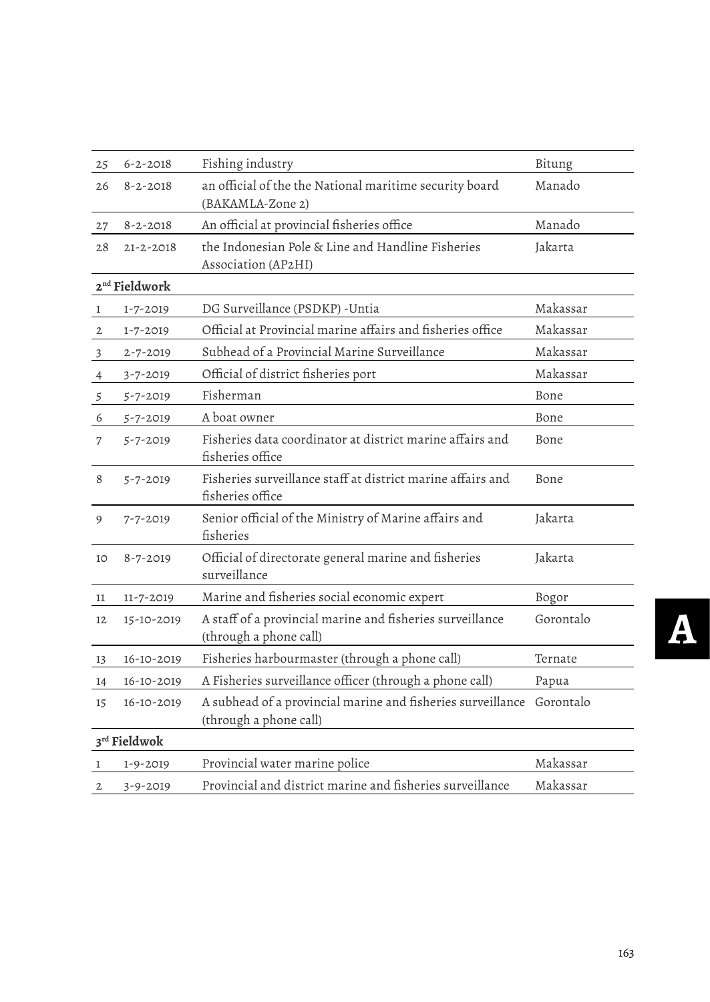| 25                        | $6 - 2 - 2018$ | Fishing industry                                                                                | Bitung    |  |
|---------------------------|----------------|-------------------------------------------------------------------------------------------------|-----------|--|
| 26                        | $8 - 2 - 2018$ | an official of the the National maritime security board<br>(BAKAMLA-Zone 2)                     | Manado    |  |
| 27                        | $8 - 2 - 2018$ | An official at provincial fisheries office                                                      | Manado    |  |
| 28                        | 21-2-2018      | the Indonesian Pole & Line and Handline Fisheries<br>Association (AP2HI)                        | Jakarta   |  |
| 2 <sup>nd</sup> Fieldwork |                |                                                                                                 |           |  |
| 1                         | 1-7-2019       | DG Surveillance (PSDKP) -Untia                                                                  | Makassar  |  |
| $\mathbf{2}$              | 1-7-2019       | Official at Provincial marine affairs and fisheries office                                      | Makassar  |  |
| 3                         | $2 - 7 - 2019$ | Subhead of a Provincial Marine Surveillance                                                     | Makassar  |  |
| 4                         | $3 - 7 - 2019$ | Official of district fisheries port                                                             | Makassar  |  |
| 5                         | $5 - 7 - 2019$ | Fisherman                                                                                       | Bone      |  |
| 6                         | $5 - 7 - 2019$ | A boat owner                                                                                    | Bone      |  |
| 7                         | $5 - 7 - 2019$ | Fisheries data coordinator at district marine affairs and<br>fisheries office                   | Bone      |  |
| 8                         | $5 - 7 - 2019$ | Fisheries surveillance staff at district marine affairs and<br>fisheries office                 | Bone      |  |
| 9                         | $7 - 7 - 2019$ | Senior official of the Ministry of Marine affairs and<br>fisheries                              | Jakarta   |  |
| 10                        | $8 - 7 - 2019$ | Official of directorate general marine and fisheries<br>surveillance                            | Jakarta   |  |
| 11                        | 11-7-2019      | Marine and fisheries social economic expert                                                     | Bogor     |  |
| 12                        | 15-10-2019     | A staff of a provincial marine and fisheries surveillance<br>(through a phone call)             | Gorontalo |  |
| 13                        | 16-10-2019     | Fisheries harbourmaster (through a phone call)                                                  | Ternate   |  |
| 14                        | 16-10-2019     | A Fisheries surveillance officer (through a phone call)                                         | Papua     |  |
| 15                        | 16-10-2019     | A subhead of a provincial marine and fisheries surveillance Gorontalo<br>(through a phone call) |           |  |
| 3rd Fieldwok              |                |                                                                                                 |           |  |
| 1                         | 1-9-2019       | Provincial water marine police                                                                  | Makassar  |  |
| $\mathbf{2}$              | 3-9-2019       | Provincial and district marine and fisheries surveillance                                       | Makassar  |  |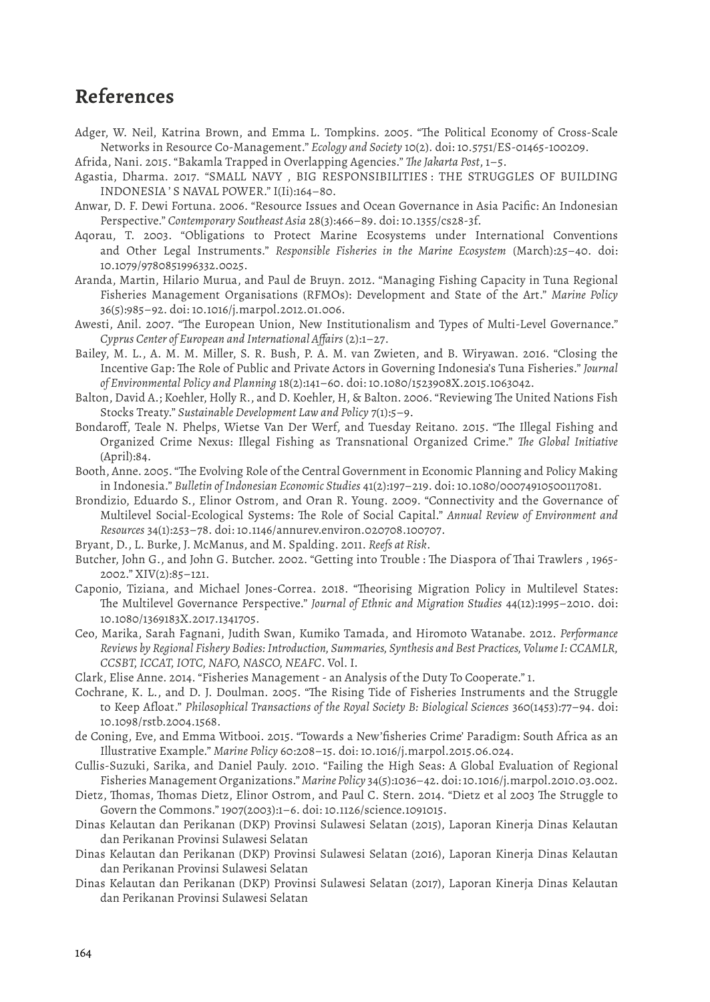#### **References**

- Adger, W. Neil, Katrina Brown, and Emma L. Tompkins. 2005. "The Political Economy of Cross-Scale Networks in Resource Co-Management." *Ecology and Society* 10(2). doi: 10.5751/ES-01465-100209.
- Afrida, Nani. 2015. "Bakamla Trapped in Overlapping Agencies." *The Jakarta Post*, 1–5.
- Agastia, Dharma. 2017. "SMALL NAVY , BIG RESPONSIBILITIES : THE STRUGGLES OF BUILDING INDONESIA ' S NAVAL POWER." I(Ii):164–80.
- Anwar, D. F. Dewi Fortuna. 2006. "Resource Issues and Ocean Governance in Asia Pacific: An Indonesian Perspective." *Contemporary Southeast Asia* 28(3):466–89. doi: 10.1355/cs28-3f.
- Aqorau, T. 2003. "Obligations to Protect Marine Ecosystems under International Conventions and Other Legal Instruments." *Responsible Fisheries in the Marine Ecosystem* (March):25–40. doi: 10.1079/9780851996332.0025.
- Aranda, Martin, Hilario Murua, and Paul de Bruyn. 2012. "Managing Fishing Capacity in Tuna Regional Fisheries Management Organisations (RFMOs): Development and State of the Art." *Marine Policy* 36(5):985–92. doi: 10.1016/j.marpol.2012.01.006.
- Awesti, Anil. 2007. "The European Union, New Institutionalism and Types of Multi-Level Governance." *Cyprus Center of European and International Affairs* (2):1–27.
- Bailey, M. L., A. M. M. Miller, S. R. Bush, P. A. M. van Zwieten, and B. Wiryawan. 2016. "Closing the Incentive Gap: The Role of Public and Private Actors in Governing Indonesia's Tuna Fisheries." *Journal of Environmental Policy and Planning* 18(2):141–60. doi: 10.1080/1523908X.2015.1063042.
- Balton, David A.; Koehler, Holly R., and D. Koehler, H, & Balton. 2006. "Reviewing The United Nations Fish Stocks Treaty." *Sustainable Development Law and Policy* 7(1):5–9.
- Bondaroff, Teale N. Phelps, Wietse Van Der Werf, and Tuesday Reitano. 2015. "The Illegal Fishing and Organized Crime Nexus: Illegal Fishing as Transnational Organized Crime." *The Global Initiative* (April):84.
- Booth, Anne. 2005. "The Evolving Role of the Central Government in Economic Planning and Policy Making in Indonesia." *Bulletin of Indonesian Economic Studies* 41(2):197–219. doi: 10.1080/00074910500117081.
- Brondizio, Eduardo S., Elinor Ostrom, and Oran R. Young. 2009. "Connectivity and the Governance of Multilevel Social-Ecological Systems: The Role of Social Capital." *Annual Review of Environment and Resources* 34(1):253–78. doi: 10.1146/annurev.environ.020708.100707.
- Bryant, D., L. Burke, J. McManus, and M. Spalding. 2011. *Reefs at Risk*.
- Butcher, John G., and John G. Butcher. 2002. "Getting into Trouble : The Diaspora of Thai Trawlers , 1965- 2002." XIV(2):85–121.
- Caponio, Tiziana, and Michael Jones-Correa. 2018. "Theorising Migration Policy in Multilevel States: The Multilevel Governance Perspective." *Journal of Ethnic and Migration Studies* 44(12):1995–2010. doi: 10.1080/1369183X.2017.1341705.
- Ceo, Marika, Sarah Fagnani, Judith Swan, Kumiko Tamada, and Hiromoto Watanabe. 2012. *Performance Reviews by Regional Fishery Bodies: Introduction, Summaries, Synthesis and Best Practices, Volume I: CCAMLR, CCSBT, ICCAT, IOTC, NAFO, NASCO, NEAFC*. Vol. I.
- Clark, Elise Anne. 2014. "Fisheries Management an Analysis of the Duty To Cooperate." 1.
- Cochrane, K. L., and D. J. Doulman. 2005. "The Rising Tide of Fisheries Instruments and the Struggle to Keep Afloat." *Philosophical Transactions of the Royal Society B: Biological Sciences* 360(1453):77–94. doi: 10.1098/rstb.2004.1568.
- de Coning, Eve, and Emma Witbooi. 2015. "Towards a New'fisheries Crime' Paradigm: South Africa as an Illustrative Example." *Marine Policy* 60:208–15. doi: 10.1016/j.marpol.2015.06.024.
- Cullis-Suzuki, Sarika, and Daniel Pauly. 2010. "Failing the High Seas: A Global Evaluation of Regional Fisheries Management Organizations." *Marine Policy* 34(5):1036–42. doi: 10.1016/j.marpol.2010.03.002.
- Dietz, Thomas, Thomas Dietz, Elinor Ostrom, and Paul C. Stern. 2014. "Dietz et al 2003 The Struggle to Govern the Commons." 1907(2003):1–6. doi: 10.1126/science.1091015.
- Dinas Kelautan dan Perikanan (DKP) Provinsi Sulawesi Selatan (2015), Laporan Kinerja Dinas Kelautan dan Perikanan Provinsi Sulawesi Selatan
- Dinas Kelautan dan Perikanan (DKP) Provinsi Sulawesi Selatan (2016), Laporan Kinerja Dinas Kelautan dan Perikanan Provinsi Sulawesi Selatan
- Dinas Kelautan dan Perikanan (DKP) Provinsi Sulawesi Selatan (2017), Laporan Kinerja Dinas Kelautan dan Perikanan Provinsi Sulawesi Selatan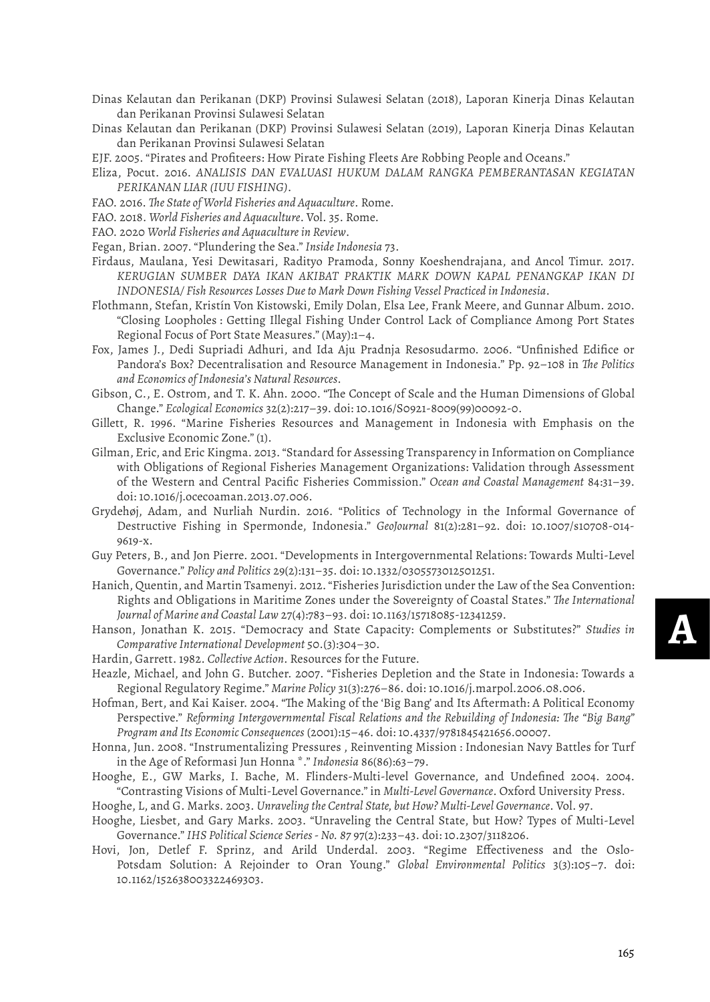- Dinas Kelautan dan Perikanan (DKP) Provinsi Sulawesi Selatan (2018), Laporan Kinerja Dinas Kelautan dan Perikanan Provinsi Sulawesi Selatan
- Dinas Kelautan dan Perikanan (DKP) Provinsi Sulawesi Selatan (2019), Laporan Kinerja Dinas Kelautan dan Perikanan Provinsi Sulawesi Selatan
- EJF. 2005. "Pirates and Profiteers: How Pirate Fishing Fleets Are Robbing People and Oceans."
- Eliza, Pocut. 2016. *ANALISIS DAN EVALUASI HUKUM DALAM RANGKA PEMBERANTASAN KEGIATAN PERIKANAN LIAR (IUU FISHING)*.
- FAO. 2016. *The State of World Fisheries and Aquaculture*. Rome.
- FAO. 2018. *World Fisheries and Aquaculture*. Vol. 35. Rome.
- FAO. 2020 *World Fisheries and Aquaculture in Review*.
- Fegan, Brian. 2007. "Plundering the Sea." *Inside Indonesia* 73.
- Firdaus, Maulana, Yesi Dewitasari, Radityo Pramoda, Sonny Koeshendrajana, and Ancol Timur. 2017. *KERUGIAN SUMBER DAYA IKAN AKIBAT PRAKTIK MARK DOWN KAPAL PENANGKAP IKAN DI INDONESIA/ Fish Resources Losses Due to Mark Down Fishing Vessel Practiced in Indonesia*.
- Flothmann, Stefan, Kristín Von Kistowski, Emily Dolan, Elsa Lee, Frank Meere, and Gunnar Album. 2010. "Closing Loopholes : Getting Illegal Fishing Under Control Lack of Compliance Among Port States Regional Focus of Port State Measures." (May):1–4.
- Fox, James J., Dedi Supriadi Adhuri, and Ida Aju Pradnja Resosudarmo. 2006. "Unfinished Edifice or Pandora's Box? Decentralisation and Resource Management in Indonesia." Pp. 92–108 in *The Politics and Economics of Indonesia's Natural Resources*.
- Gibson, C., E. Ostrom, and T. K. Ahn. 2000. "The Concept of Scale and the Human Dimensions of Global Change." *Ecological Economics* 32(2):217–39. doi: 10.1016/S0921-8009(99)00092-0.
- Gillett, R. 1996. "Marine Fisheries Resources and Management in Indonesia with Emphasis on the Exclusive Economic Zone." (1).
- Gilman, Eric, and Eric Kingma. 2013. "Standard for Assessing Transparency in Information on Compliance with Obligations of Regional Fisheries Management Organizations: Validation through Assessment of the Western and Central Pacific Fisheries Commission." *Ocean and Coastal Management* 84:31–39. doi: 10.1016/j.ocecoaman.2013.07.006.
- Grydehøj, Adam, and Nurliah Nurdin. 2016. "Politics of Technology in the Informal Governance of Destructive Fishing in Spermonde, Indonesia." *GeoJournal* 81(2):281–92. doi: 10.1007/s10708-014- 9619-x.
- Guy Peters, B., and Jon Pierre. 2001. "Developments in Intergovernmental Relations: Towards Multi-Level Governance." *Policy and Politics* 29(2):131–35. doi: 10.1332/0305573012501251.
- Hanich, Quentin, and Martin Tsamenyi. 2012. "Fisheries Jurisdiction under the Law of the Sea Convention: Rights and Obligations in Maritime Zones under the Sovereignty of Coastal States." *The International Journal of Marine and Coastal Law* 27(4):783–93. doi: 10.1163/15718085-12341259.
- Hanson, Jonathan K. 2015. "Democracy and State Capacity: Complements or Substitutes?" *Studies in Comparative International Development* 50.(3):304–30.
- Hardin, Garrett. 1982. *Collective Action*. Resources for the Future.
- Heazle, Michael, and John G. Butcher. 2007. "Fisheries Depletion and the State in Indonesia: Towards a Regional Regulatory Regime." *Marine Policy* 31(3):276–86. doi: 10.1016/j.marpol.2006.08.006.
- Hofman, Bert, and Kai Kaiser. 2004. "The Making of the 'Big Bang' and Its Aftermath: A Political Economy Perspective." *Reforming Intergovernmental Fiscal Relations and the Rebuilding of Indonesia: The "Big Bang" Program and Its Economic Consequences* (2001):15–46. doi: 10.4337/9781845421656.00007.
- Honna, Jun. 2008. "Instrumentalizing Pressures , Reinventing Mission : Indonesian Navy Battles for Turf in the Age of Reformasi Jun Honna \*." *Indonesia* 86(86):63–79.
- Hooghe, E., GW Marks, I. Bache, M. Flinders-Multi-level Governance, and Undefined 2004. 2004. "Contrasting Visions of Multi-Level Governance." in *Multi-Level Governance*. Oxford University Press.
- Hooghe, L, and G. Marks. 2003. *Unraveling the Central State, but How? Multi-Level Governance*. Vol. 97.
- Hooghe, Liesbet, and Gary Marks. 2003. "Unraveling the Central State, but How? Types of Multi-Level Governance." *IHS Political Science Series - No. 87* 97(2):233–43. doi: 10.2307/3118206.
- Hovi, Jon, Detlef F. Sprinz, and Arild Underdal. 2003. "Regime Effectiveness and the Oslo-Potsdam Solution: A Rejoinder to Oran Young." *Global Environmental Politics* 3(3):105–7. doi: 10.1162/152638003322469303.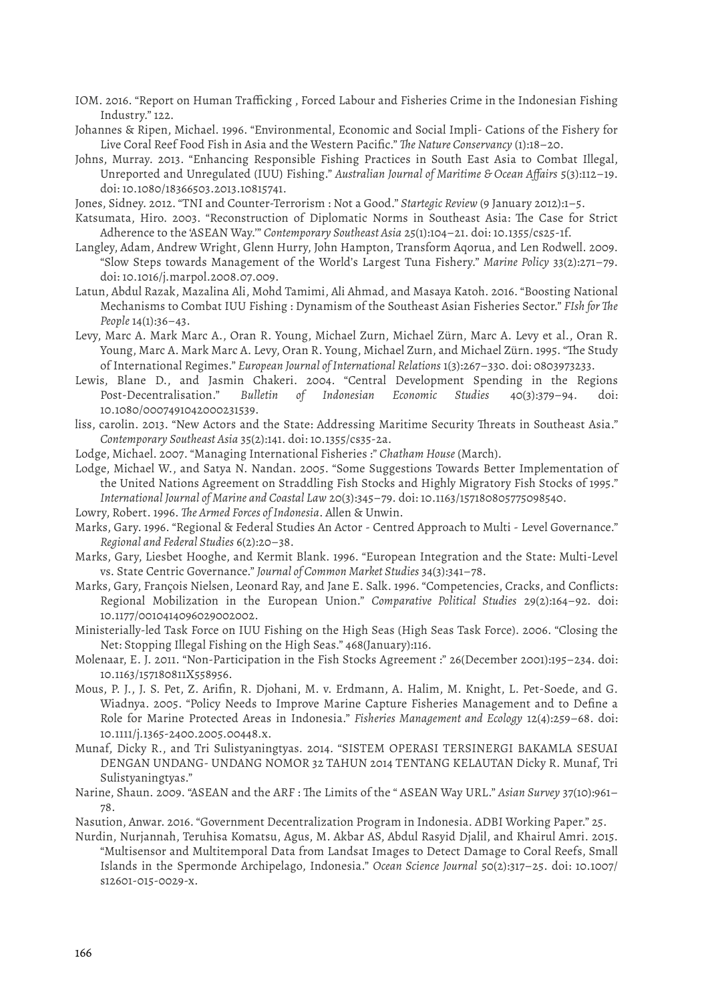IOM. 2016. "Report on Human Trafficking , Forced Labour and Fisheries Crime in the Indonesian Fishing Industry." 122.

Johannes & Ripen, Michael. 1996. "Environmental, Economic and Social Impli- Cations of the Fishery for Live Coral Reef Food Fish in Asia and the Western Pacific." *The Nature Conservancy* (1):18–20.

Johns, Murray. 2013. "Enhancing Responsible Fishing Practices in South East Asia to Combat Illegal, Unreported and Unregulated (IUU) Fishing." *Australian Journal of Maritime & Ocean Affairs* 5(3):112–19. doi: 10.1080/18366503.2013.10815741.

Jones, Sidney. 2012. "TNI and Counter-Terrorism : Not a Good." *Startegic Review* (9 January 2012):1–5.

- Katsumata, Hiro. 2003. "Reconstruction of Diplomatic Norms in Southeast Asia: The Case for Strict Adherence to the 'ASEAN Way.'" *Contemporary Southeast Asia* 25(1):104–21. doi: 10.1355/cs25-1f.
- Langley, Adam, Andrew Wright, Glenn Hurry, John Hampton, Transform Aqorua, and Len Rodwell. 2009. "Slow Steps towards Management of the World's Largest Tuna Fishery." *Marine Policy* 33(2):271–79. doi: 10.1016/j.marpol.2008.07.009.
- Latun, Abdul Razak, Mazalina Ali, Mohd Tamimi, Ali Ahmad, and Masaya Katoh. 2016. "Boosting National Mechanisms to Combat IUU Fishing : Dynamism of the Southeast Asian Fisheries Sector." *FIsh for The People* 14(1):36–43.
- Levy, Marc A. Mark Marc A., Oran R. Young, Michael Zurn, Michael Zürn, Marc A. Levy et al., Oran R. Young, Marc A. Mark Marc A. Levy, Oran R. Young, Michael Zurn, and Michael Zürn. 1995. "The Study of International Regimes." *European Journal of International Relations* 1(3):267–330. doi: 0803973233.
- Lewis, Blane D., and Jasmin Chakeri. 2004. "Central Development Spending in the Regions<br>Post-Decentralisation." Bulletin of Indonesian Economic Studies 40(3):379-94. doi: Post-Decentralisation." *Bulletin of Indonesian Economic Studies* 40(3):379–94. doi: 10.1080/0007491042000231539.
- liss, carolin. 2013. "New Actors and the State: Addressing Maritime Security Threats in Southeast Asia." *Contemporary Southeast Asia* 35(2):141. doi: 10.1355/cs35-2a.
- Lodge, Michael. 2007. "Managing International Fisheries :" *Chatham House* (March).
- Lodge, Michael W., and Satya N. Nandan. 2005. "Some Suggestions Towards Better Implementation of the United Nations Agreement on Straddling Fish Stocks and Highly Migratory Fish Stocks of 1995." *International Journal of Marine and Coastal Law* 20(3):345–79. doi: 10.1163/157180805775098540.
- Lowry, Robert. 1996. *The Armed Forces of Indonesia*. Allen & Unwin.
- Marks, Gary. 1996. "Regional & Federal Studies An Actor ‐ Centred Approach to Multi ‐ Level Governance." *Regional and Federal Studies* 6(2):20–38.
- Marks, Gary, Liesbet Hooghe, and Kermit Blank. 1996. "European Integration and the State: Multi-Level vs. State Centric Governance." *Journal of Common Market Studies* 34(3):341–78.
- Marks, Gary, François Nielsen, Leonard Ray, and Jane E. Salk. 1996. "Competencies, Cracks, and Conflicts: Regional Mobilization in the European Union." *Comparative Political Studies* 29(2):164–92. doi: 10.1177/0010414096029002002.
- Ministerially-led Task Force on IUU Fishing on the High Seas (High Seas Task Force). 2006. "Closing the Net: Stopping Illegal Fishing on the High Seas." 468(January):116.
- Molenaar, E. J. 2011. "Non-Participation in the Fish Stocks Agreement :" 26(December 2001):195–234. doi: 10.1163/157180811X558956.
- Mous, P. J., J. S. Pet, Z. Arifin, R. Djohani, M. v. Erdmann, A. Halim, M. Knight, L. Pet-Soede, and G. Wiadnya. 2005. "Policy Needs to Improve Marine Capture Fisheries Management and to Define a Role for Marine Protected Areas in Indonesia." *Fisheries Management and Ecology* 12(4):259–68. doi: 10.1111/j.1365-2400.2005.00448.x.
- Munaf, Dicky R., and Tri Sulistyaningtyas. 2014. "SISTEM OPERASI TERSINERGI BAKAMLA SESUAI DENGAN UNDANG- UNDANG NOMOR 32 TAHUN 2014 TENTANG KELAUTAN Dicky R. Munaf, Tri Sulistyaningtyas."
- Narine, Shaun. 2009. "ASEAN and the ARF : The Limits of the " ASEAN Way URL." *Asian Survey* 37(10):961– 78.

Nasution, Anwar. 2016. "Government Decentralization Program in Indonesia. ADBI Working Paper." 25.

Nurdin, Nurjannah, Teruhisa Komatsu, Agus, M. Akbar AS, Abdul Rasyid Djalil, and Khairul Amri. 2015. "Multisensor and Multitemporal Data from Landsat Images to Detect Damage to Coral Reefs, Small Islands in the Spermonde Archipelago, Indonesia." *Ocean Science Journal* 50(2):317–25. doi: 10.1007/ s12601-015-0029-x.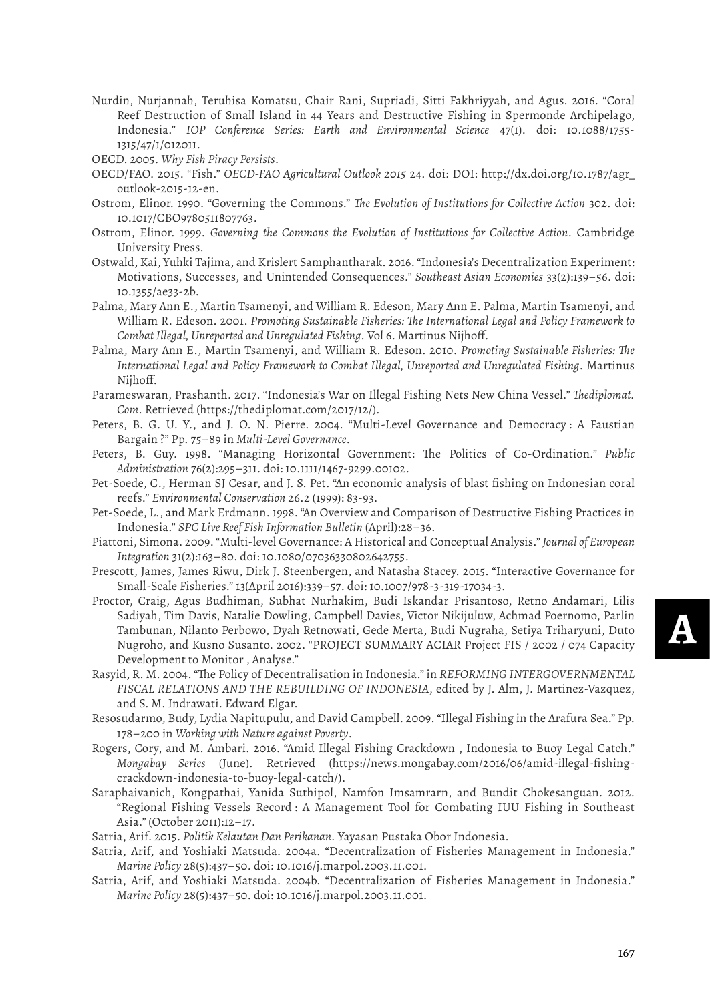- Nurdin, Nurjannah, Teruhisa Komatsu, Chair Rani, Supriadi, Sitti Fakhriyyah, and Agus. 2016. "Coral Reef Destruction of Small Island in 44 Years and Destructive Fishing in Spermonde Archipelago, Indonesia." *IOP Conference Series: Earth and Environmental Science* 47(1). doi: 10.1088/1755- 1315/47/1/012011.
- OECD. 2005. *Why Fish Piracy Persists*.
- OECD/FAO. 2015. "Fish." *OECD-FAO Agricultural Outlook 2015* 24. doi: DOI: http://dx.doi.org/10.1787/agr\_ outlook-2015-12-en.
- Ostrom, Elinor. 1990. "Governing the Commons." *The Evolution of Institutions for Collective Action* 302. doi: 10.1017/CBO9780511807763.
- Ostrom, Elinor. 1999. *Governing the Commons the Evolution of Institutions for Collective Action*. Cambridge University Press.
- Ostwald, Kai, Yuhki Tajima, and Krislert Samphantharak. 2016. "Indonesia's Decentralization Experiment: Motivations, Successes, and Unintended Consequences." *Southeast Asian Economies* 33(2):139–56. doi: 10.1355/ae33-2b.
- Palma, Mary Ann E., Martin Tsamenyi, and William R. Edeson, Mary Ann E. Palma, Martin Tsamenyi, and William R. Edeson. 2001. *Promoting Sustainable Fisheries: The International Legal and Policy Framework to Combat Illegal, Unreported and Unregulated Fishing*. Vol 6. Martinus Nijhoff.
- Palma, Mary Ann E., Martin Tsamenyi, and William R. Edeson. 2010. *Promoting Sustainable Fisheries: The International Legal and Policy Framework to Combat Illegal, Unreported and Unregulated Fishing*. Martinus Nijhoff.
- Parameswaran, Prashanth. 2017. "Indonesia's War on Illegal Fishing Nets New China Vessel." *Thediplomat. Com*. Retrieved (https://thediplomat.com/2017/12/).
- Peters, B. G. U. Y., and J. O. N. Pierre. 2004. "Multi-Level Governance and Democracy : A Faustian Bargain ?" Pp. 75–89 in *Multi-Level Governance*.
- Peters, B. Guy. 1998. "Managing Horizontal Government: The Politics of Co-Ordination." *Public Administration* 76(2):295–311. doi: 10.1111/1467-9299.00102.
- Pet-Soede, C., Herman SJ Cesar, and J. S. Pet. "An economic analysis of blast fishing on Indonesian coral reefs." *Environmental Conservation* 26.2 (1999): 83-93.
- Pet-Soede, L., and Mark Erdmann. 1998. "An Overview and Comparison of Destructive Fishing Practices in Indonesia." *SPC Live Reef Fish Information Bulletin* (April):28–36.
- Piattoni, Simona. 2009. "Multi‐level Governance: A Historical and Conceptual Analysis." *Journal of European Integration* 31(2):163–80. doi: 10.1080/07036330802642755.
- Prescott, James, James Riwu, Dirk J. Steenbergen, and Natasha Stacey. 2015. "Interactive Governance for Small-Scale Fisheries." 13(April 2016):339–57. doi: 10.1007/978-3-319-17034-3.
- Proctor, Craig, Agus Budhiman, Subhat Nurhakim, Budi Iskandar Prisantoso, Retno Andamari, Lilis Sadiyah, Tim Davis, Natalie Dowling, Campbell Davies, Victor Nikijuluw, Achmad Poernomo, Parlin Tambunan, Nilanto Perbowo, Dyah Retnowati, Gede Merta, Budi Nugraha, Setiya Triharyuni, Duto Nugroho, and Kusno Susanto. 2002. "PROJECT SUMMARY ACIAR Project FIS / 2002 / 074 Capacity Development to Monitor , Analyse."
- Rasyid, R. M. 2004. "The Policy of Decentralisation in Indonesia." in *REFORMING INTERGOVERNMENTAL FISCAL RELATIONS AND THE REBUILDING OF INDONESIA*, edited by J. Alm, J. Martinez-Vazquez, and S. M. Indrawati. Edward Elgar.
- Resosudarmo, Budy, Lydia Napitupulu, and David Campbell. 2009. "Illegal Fishing in the Arafura Sea." Pp. 178–200 in *Working with Nature against Poverty*.
- Rogers, Cory, and M. Ambari. 2016. "Amid Illegal Fishing Crackdown , Indonesia to Buoy Legal Catch." *Mongabay Series* (June). Retrieved (https://news.mongabay.com/2016/06/amid-illegal-fishingcrackdown-indonesia-to-buoy-legal-catch/).
- Saraphaivanich, Kongpathai, Yanida Suthipol, Namfon Imsamrarn, and Bundit Chokesanguan. 2012. "Regional Fishing Vessels Record : A Management Tool for Combating IUU Fishing in Southeast Asia." (October 2011):12–17.
- Satria, Arif. 2015. *Politik Kelautan Dan Perikanan.* Yayasan Pustaka Obor Indonesia.
- Satria, Arif, and Yoshiaki Matsuda. 2004a. "Decentralization of Fisheries Management in Indonesia." *Marine Policy* 28(5):437–50. doi: 10.1016/j.marpol.2003.11.001.
- Satria, Arif, and Yoshiaki Matsuda. 2004b. "Decentralization of Fisheries Management in Indonesia." *Marine Policy* 28(5):437–50. doi: 10.1016/j.marpol.2003.11.001.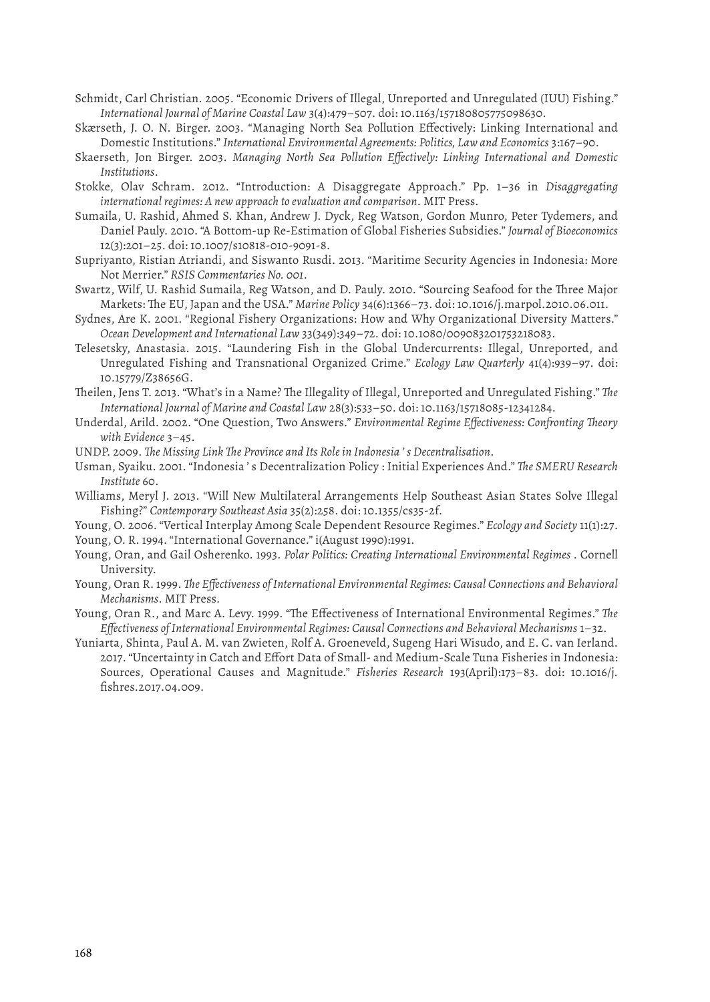Schmidt, Carl Christian. 2005. "Economic Drivers of Illegal, Unreported and Unregulated (IUU) Fishing." *International Journal of Marine Coastal Law* 3(4):479–507. doi: 10.1163/157180805775098630.

- Skærseth, J. O. N. Birger. 2003. "Managing North Sea Pollution Effectively: Linking International and Domestic Institutions." *International Environmental Agreements: Politics, Law and Economics* 3:167–90.
- Skaerseth, Jon Birger. 2003. *Managing North Sea Pollution Effectively: Linking International and Domestic Institutions*.
- Stokke, Olav Schram. 2012. "Introduction: A Disaggregate Approach." Pp. 1–36 in *Disaggregating international regimes: A new approach to evaluation and comparison*. MIT Press.
- Sumaila, U. Rashid, Ahmed S. Khan, Andrew J. Dyck, Reg Watson, Gordon Munro, Peter Tydemers, and Daniel Pauly. 2010. "A Bottom-up Re-Estimation of Global Fisheries Subsidies." *Journal of Bioeconomics* 12(3):201–25. doi: 10.1007/s10818-010-9091-8.
- Supriyanto, Ristian Atriandi, and Siswanto Rusdi. 2013. "Maritime Security Agencies in Indonesia: More Not Merrier." *RSIS Commentaries No. 001*.
- Swartz, Wilf, U. Rashid Sumaila, Reg Watson, and D. Pauly. 2010. "Sourcing Seafood for the Three Major Markets: The EU, Japan and the USA." *Marine Policy* 34(6):1366–73. doi: 10.1016/j.marpol.2010.06.011.
- Sydnes, Are K. 2001. "Regional Fishery Organizations: How and Why Organizational Diversity Matters." *Ocean Development and International Law* 33(349):349–72. doi: 10.1080/009083201753218083.
- Telesetsky, Anastasia. 2015. "Laundering Fish in the Global Undercurrents: Illegal, Unreported, and Unregulated Fishing and Transnational Organized Crime." *Ecology Law Quarterly* 41(4):939–97. doi: 10.15779/Z38656G.
- Theilen, Jens T. 2013. "What's in a Name? The Illegality of Illegal, Unreported and Unregulated Fishing." *The International Journal of Marine and Coastal Law* 28(3):533–50. doi: 10.1163/15718085-12341284.
- Underdal, Arild. 2002. "One Question, Two Answers." *Environmental Regime Effectiveness: Confronting Theory with Evidence* 3–45.
- UNDP. 2009. *The Missing Link The Province and Its Role in Indonesia ' s Decentralisation*.
- Usman, Syaiku. 2001. "Indonesia ' s Decentralization Policy : Initial Experiences And." *The SMERU Research Institute* 60.
- Williams, Meryl J. 2013. "Will New Multilateral Arrangements Help Southeast Asian States Solve Illegal Fishing?" *Contemporary Southeast Asia* 35(2):258. doi: 10.1355/cs35-2f.

Young, O. 2006. "Vertical Interplay Among Scale Dependent Resource Regimes." *Ecology and Society* 11(1):27.

Young, O. R. 1994. "International Governance." i(August 1990):1991.

- Young, Oran, and Gail Osherenko. 1993. *Polar Politics: Creating International Environmental Regimes* . Cornell University.
- Young, Oran R. 1999. *The Effectiveness of International Environmental Regimes: Causal Connections and Behavioral Mechanisms*. MIT Press.
- Young, Oran R., and Marc A. Levy. 1999. "The Effectiveness of International Environmental Regimes." *The Effectiveness of International Environmental Regimes: Causal Connections and Behavioral Mechanisms* 1–32.
- Yuniarta, Shinta, Paul A. M. van Zwieten, Rolf A. Groeneveld, Sugeng Hari Wisudo, and E. C. van Ierland. 2017. "Uncertainty in Catch and Effort Data of Small- and Medium-Scale Tuna Fisheries in Indonesia: Sources, Operational Causes and Magnitude." *Fisheries Research* 193(April):173–83. doi: 10.1016/j. fishres.2017.04.009.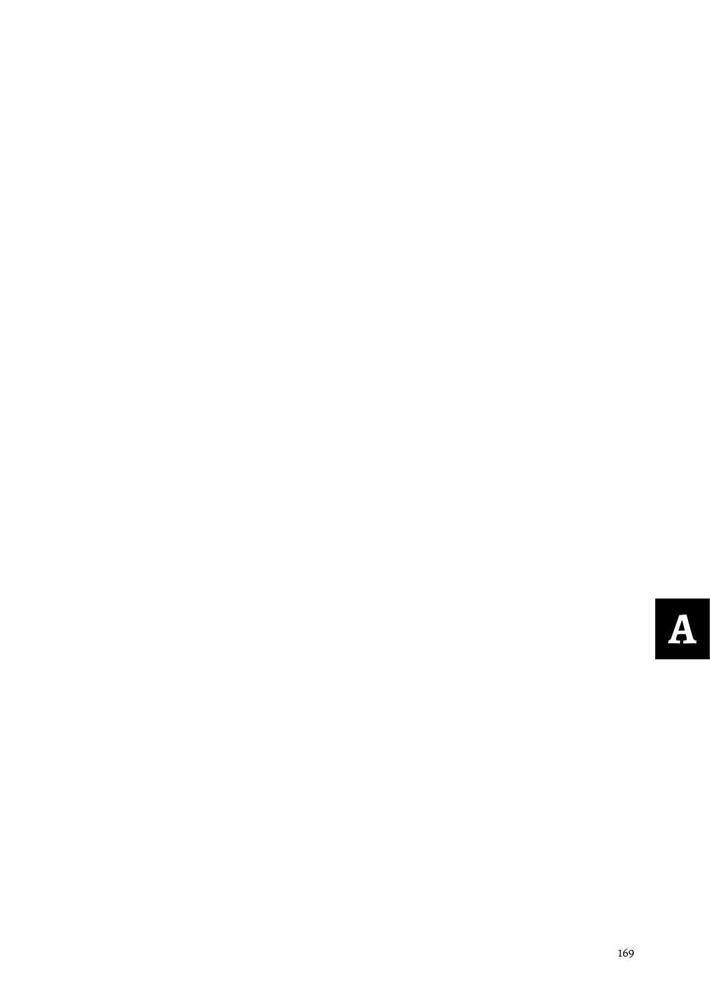# **A**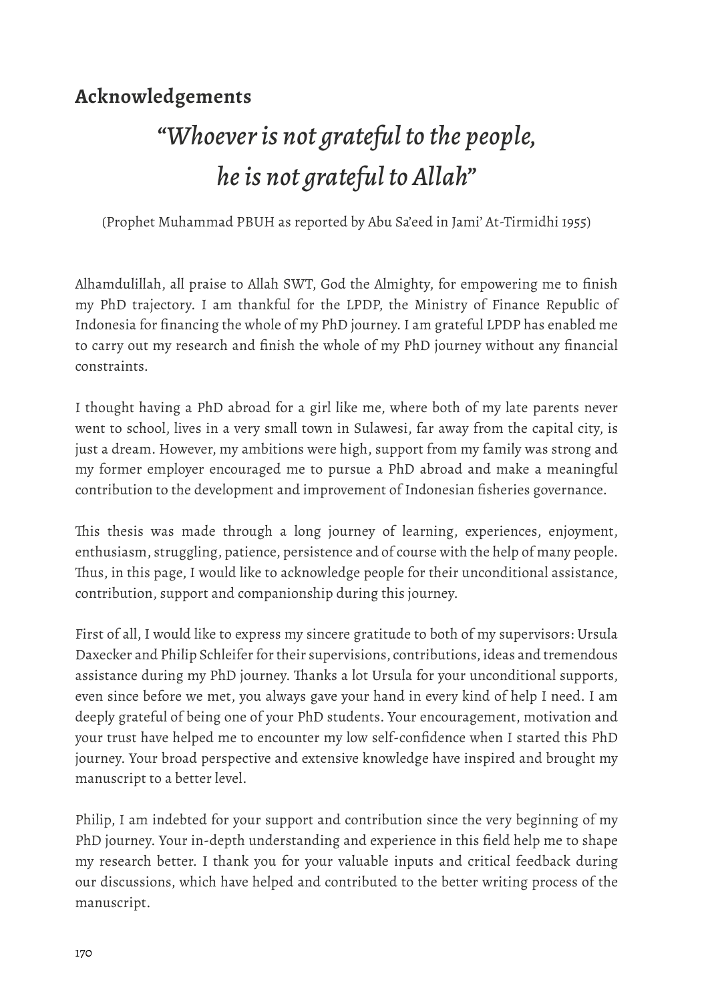### **Acknowledgements**

## *"Whoever is not grateful to the people, he is not grateful to Allah"*

(Prophet Muhammad PBUH as reported by Abu Sa'eed in Jami' At-Tirmidhi 1955)

Alhamdulillah, all praise to Allah SWT, God the Almighty, for empowering me to finish my PhD trajectory. I am thankful for the LPDP, the Ministry of Finance Republic of Indonesia for financing the whole of my PhD journey. I am grateful LPDP has enabled me to carry out my research and finish the whole of my PhD journey without any financial constraints.

I thought having a PhD abroad for a girl like me, where both of my late parents never went to school, lives in a very small town in Sulawesi, far away from the capital city, is just a dream. However, my ambitions were high, support from my family was strong and my former employer encouraged me to pursue a PhD abroad and make a meaningful contribution to the development and improvement of Indonesian fisheries governance.

This thesis was made through a long journey of learning, experiences, enjoyment, enthusiasm, struggling, patience, persistence and of course with the help of many people. Thus, in this page, I would like to acknowledge people for their unconditional assistance, contribution, support and companionship during this journey.

First of all, I would like to express my sincere gratitude to both of my supervisors: Ursula Daxecker and Philip Schleifer for their supervisions, contributions, ideas and tremendous assistance during my PhD journey. Thanks a lot Ursula for your unconditional supports, even since before we met, you always gave your hand in every kind of help I need. I am deeply grateful of being one of your PhD students. Your encouragement, motivation and your trust have helped me to encounter my low self-confidence when I started this PhD journey. Your broad perspective and extensive knowledge have inspired and brought my manuscript to a better level.

Philip, I am indebted for your support and contribution since the very beginning of my PhD journey. Your in-depth understanding and experience in this field help me to shape my research better. I thank you for your valuable inputs and critical feedback during our discussions, which have helped and contributed to the better writing process of the manuscript.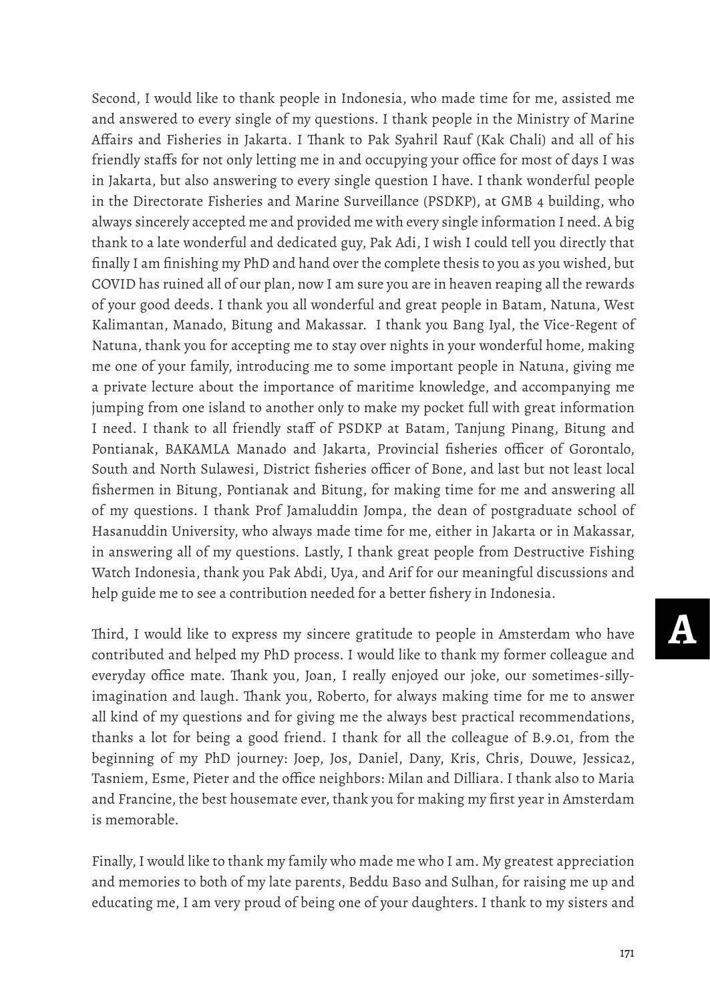Second, I would like to thank people in Indonesia, who made time for me, assisted me and answered to every single of my questions. I thank people in the Ministry of Marine Affairs and Fisheries in Jakarta. I Thank to Pak Syahril Rauf (Kak Chali) and all of his friendly staffs for not only letting me in and occupying your office for most of days I was in Jakarta, but also answering to every single question I have. I thank wonderful people in the Directorate Fisheries and Marine Surveillance (PSDKP), at GMB 4 building, who always sincerely accepted me and provided me with every single information I need. A big thank to a late wonderful and dedicated guy, Pak Adi, I wish I could tell you directly that finally I am finishing my PhD and hand over the complete thesis to you as you wished, but COVID has ruined all of our plan, now I am sure you are in heaven reaping all the rewards of your good deeds. I thank you all wonderful and great people in Batam, Natuna, West Kalimantan, Manado, Bitung and Makassar. I thank you Bang Iyal, the Vice-Regent of Natuna, thank you for accepting me to stay over nights in your wonderful home, making me one of your family, introducing me to some important people in Natuna, giving me a private lecture about the importance of maritime knowledge, and accompanying me jumping from one island to another only to make my pocket full with great information I need. I thank to all friendly staff of PSDKP at Batam, Tanjung Pinang, Bitung and Pontianak, BAKAMLA Manado and Jakarta, Provincial fisheries officer of Gorontalo, South and North Sulawesi, District fisheries officer of Bone, and last but not least local fishermen in Bitung, Pontianak and Bitung, for making time for me and answering all of my questions. I thank Prof Jamaluddin Jompa, the dean of postgraduate school of Hasanuddin University, who always made time for me, either in Jakarta or in Makassar, in answering all of my questions. Lastly, I thank great people from Destructive Fishing Watch Indonesia, thank you Pak Abdi, Uya, and Arif for our meaningful discussions and help guide me to see a contribution needed for a better fishery in Indonesia.

Third, I would like to express my sincere gratitude to people in Amsterdam who have contributed and helped my PhD process. I would like to thank my former colleague and everyday office mate. Thank you, Joan, I really enjoyed our joke, our sometimes-sillyimagination and laugh. Thank you, Roberto, for always making time for me to answer all kind of my questions and for giving me the always best practical recommendations, thanks a lot for being a good friend. I thank for all the colleague of B.9.01, from the beginning of my PhD journey: Joep, Jos, Daniel, Dany, Kris, Chris, Douwe, Jessica2, Tasniem, Esme, Pieter and the office neighbors: Milan and Dilliara. I thank also to Maria and Francine, the best housemate ever, thank you for making my first year in Amsterdam is memorable.

Finally, I would like to thank my family who made me who I am. My greatest appreciation and memories to both of my late parents, Beddu Baso and Sulhan, for raising me up and educating me, I am very proud of being one of your daughters. I thank to my sisters and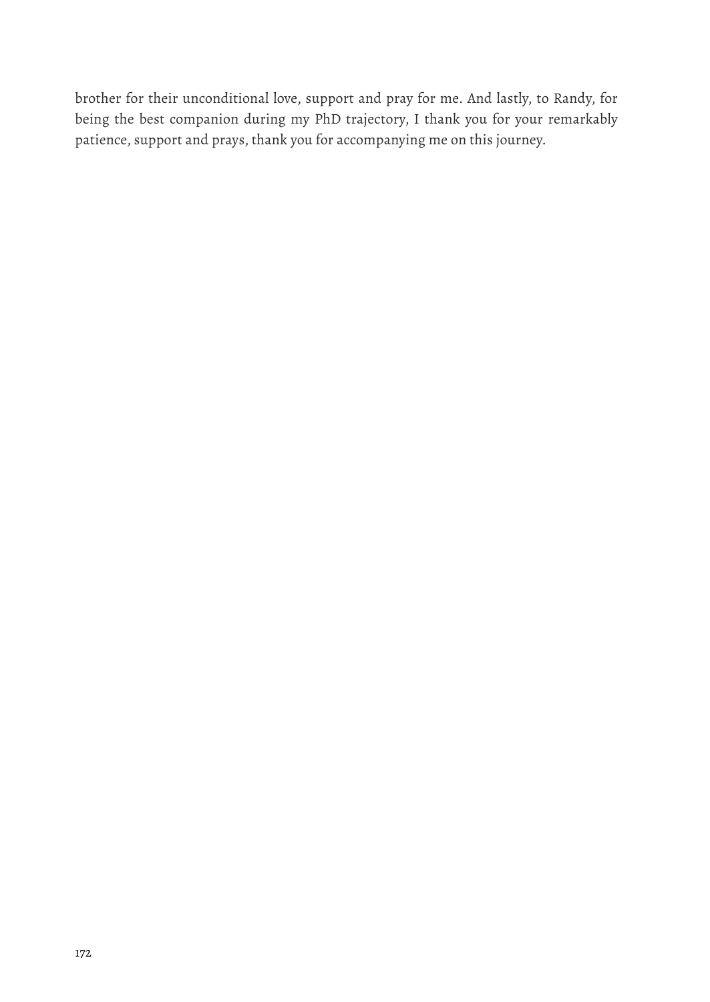brother for their unconditional love, support and pray for me. And lastly, to Randy, for being the best companion during my PhD trajectory, I thank you for your remarkably patience, support and prays, thank you for accompanying me on this journey.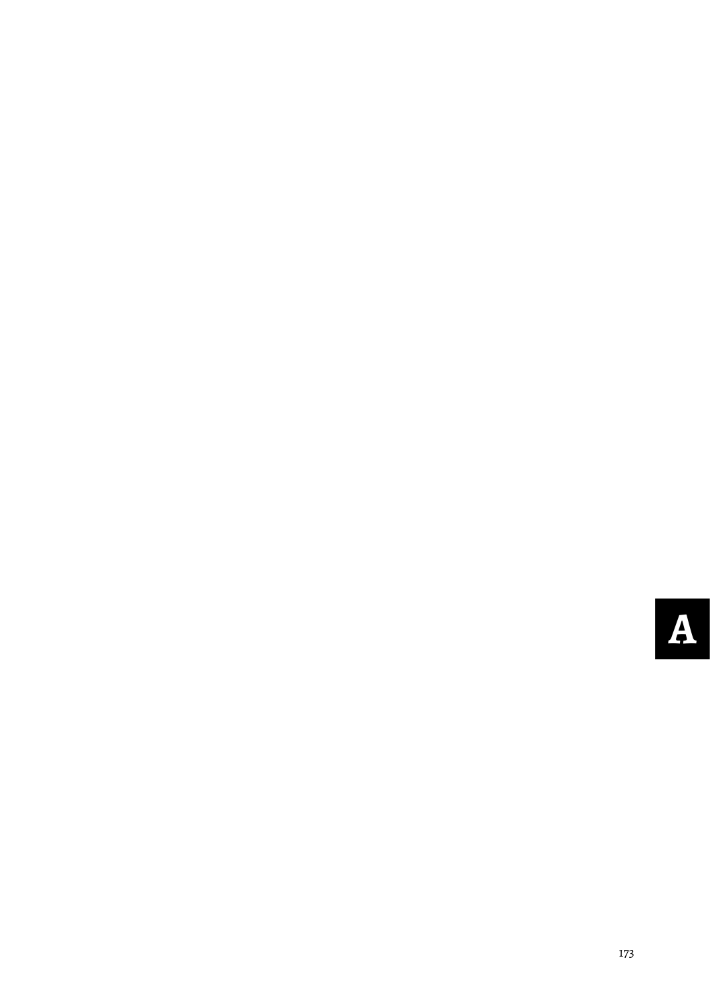# **A**